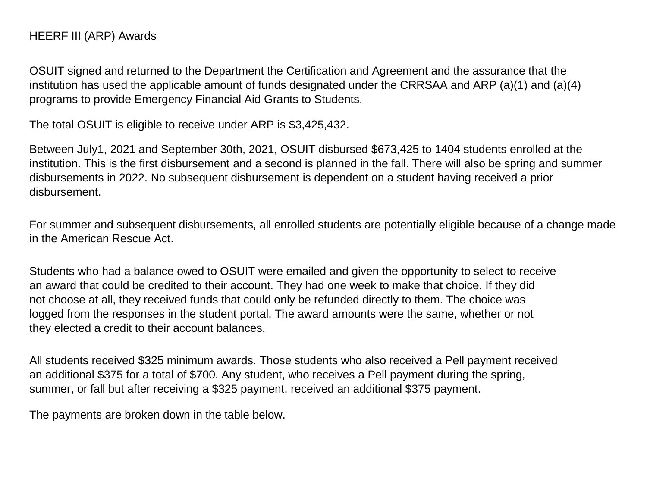OSUIT signed and returned to the Department the Certification and Agreement and the assurance that the institution has used the applicable amount of funds designated under the CRRSAA and ARP (a)(1) and (a)(4) programs to provide Emergency Financial Aid Grants to Students.

The total OSUIT is eligible to receive under ARP is \$3,425,432.

Between July1, 2021 and September 30th, 2021, OSUIT disbursed \$673,425 to 1404 students enrolled at the institution. This is the first disbursement and a second is planned in the fall. There will also be spring and summer disbursements in 2022. No subsequent disbursement is dependent on a student having received a prior disbursement.

For summer and subsequent disbursements, all enrolled students are potentially eligible because of a change made in the American Rescue Act.

Students who had a balance owed to OSUIT were emailed and given the opportunity to select to receive an award that could be credited to their account. They had one week to make that choice. If they did not choose at all, they received funds that could only be refunded directly to them. The choice was logged from the responses in the student portal. The award amounts were the same, whether or not they elected a credit to their account balances.

All students received \$325 minimum awards. Those students who also received a Pell payment received an additional \$375 for a total of \$700. Any student, who receives a Pell payment during the spring, summer, or fall but after receiving a \$325 payment, received an additional \$375 payment.

The payments are broken down in the table below.